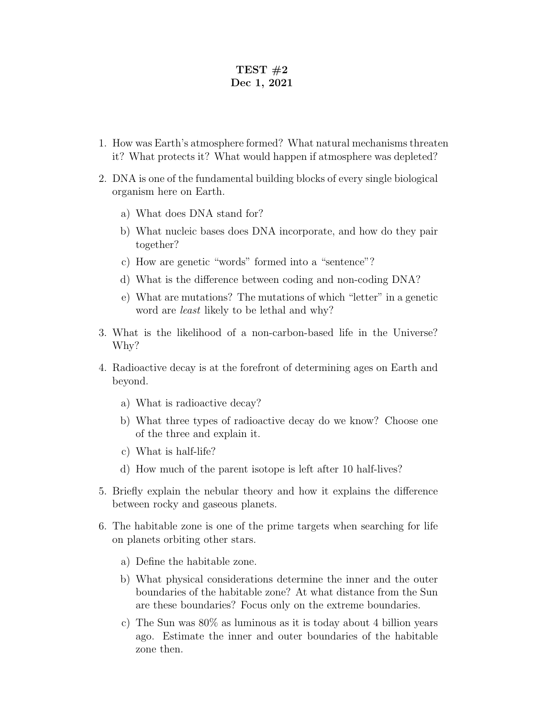## TEST  $#2$ Dec 1, 2021

- 1. How was Earth's atmosphere formed? What natural mechanisms threaten it? What protects it? What would happen if atmosphere was depleted?
- 2. DNA is one of the fundamental building blocks of every single biological organism here on Earth.
	- a) What does DNA stand for?
	- b) What nucleic bases does DNA incorporate, and how do they pair together?
	- c) How are genetic "words" formed into a "sentence"?
	- d) What is the difference between coding and non-coding DNA?
	- e) What are mutations? The mutations of which "letter" in a genetic word are least likely to be lethal and why?
- 3. What is the likelihood of a non-carbon-based life in the Universe? Why?
- 4. Radioactive decay is at the forefront of determining ages on Earth and beyond.
	- a) What is radioactive decay?
	- b) What three types of radioactive decay do we know? Choose one of the three and explain it.
	- c) What is half-life?
	- d) How much of the parent isotope is left after 10 half-lives?
- 5. Briefly explain the nebular theory and how it explains the difference between rocky and gaseous planets.
- 6. The habitable zone is one of the prime targets when searching for life on planets orbiting other stars.
	- a) Define the habitable zone.
	- b) What physical considerations determine the inner and the outer boundaries of the habitable zone? At what distance from the Sun are these boundaries? Focus only on the extreme boundaries.
	- c) The Sun was 80% as luminous as it is today about 4 billion years ago. Estimate the inner and outer boundaries of the habitable zone then.